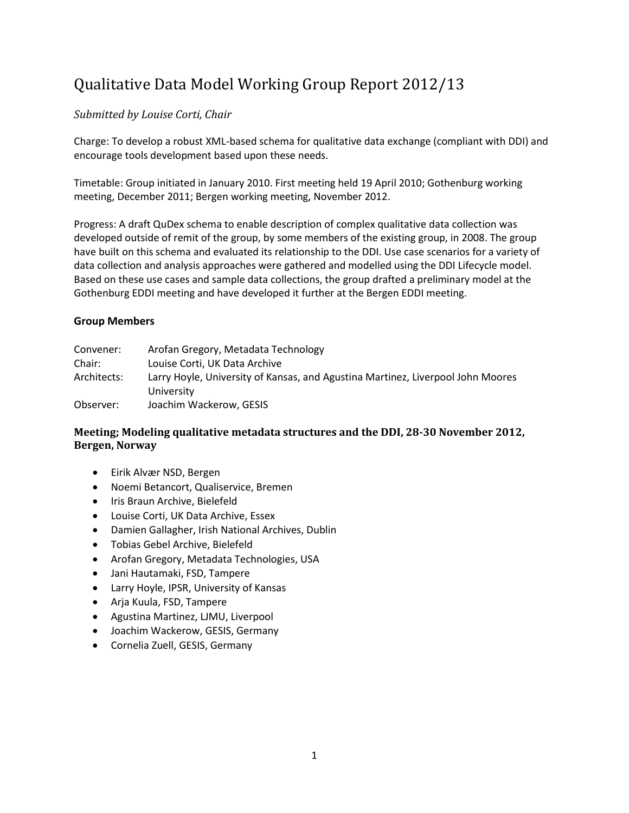# Qualitative Data Model Working Group Report 2012/13

## *Submitted by Louise Corti, Chair*

Charge: To develop a robust XML-based schema for qualitative data exchange (compliant with DDI) and encourage tools development based upon these needs.

Timetable: Group initiated in January 2010. First meeting held 19 April 2010; Gothenburg working meeting, December 2011; Bergen working meeting, November 2012.

Progress: A draft QuDex schema to enable description of complex qualitative data collection was developed outside of remit of the group, by some members of the existing group, in 2008. The group have built on this schema and evaluated its relationship to the DDI. Use case scenarios for a variety of data collection and analysis approaches were gathered and modelled using the DDI Lifecycle model. Based on these use cases and sample data collections, the group drafted a preliminary model at the Gothenburg EDDI meeting and have developed it further at the Bergen EDDI meeting.

### **Group Members**

| Convener:   | Arofan Gregory, Metadata Technology                                             |
|-------------|---------------------------------------------------------------------------------|
| Chair:      | Louise Corti, UK Data Archive                                                   |
| Architects: | Larry Hoyle, University of Kansas, and Agustina Martinez, Liverpool John Moores |
|             | University                                                                      |
| Observer:   | Joachim Wackerow, GESIS                                                         |

## **Meeting; Modeling qualitative metadata structures and the DDI, 28-30 November 2012, Bergen, Norway**

- Eirik Alvær NSD, Bergen
- Noemi Betancort, Qualiservice, Bremen
- Iris Braun Archive, Bielefeld
- Louise Corti, UK Data Archive, Essex
- Damien Gallagher, Irish National Archives, Dublin
- Tobias Gebel Archive, Bielefeld
- Arofan Gregory, Metadata Technologies, USA
- Jani Hautamaki, FSD, Tampere
- Larry Hoyle, IPSR, University of Kansas
- Arja Kuula, FSD, Tampere
- Agustina Martinez, LJMU, Liverpool
- Joachim Wackerow, GESIS, Germany
- Cornelia Zuell, GESIS, Germany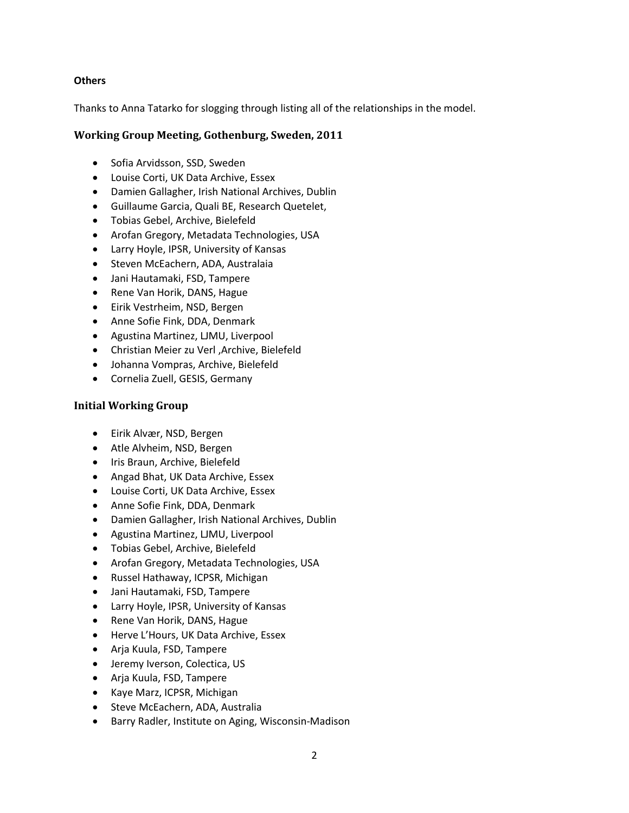#### **Others**

Thanks to Anna Tatarko for slogging through listing all of the relationships in the model.

## **Working Group Meeting, Gothenburg, Sweden, 2011**

- Sofia Arvidsson, SSD, Sweden
- Louise Corti, UK Data Archive, Essex
- Damien Gallagher, Irish National Archives, Dublin
- Guillaume Garcia, Quali BE, Research Quetelet,
- Tobias Gebel, Archive, Bielefeld
- Arofan Gregory, Metadata Technologies, USA
- Larry Hoyle, IPSR, University of Kansas
- Steven McEachern, ADA, Australaia
- Jani Hautamaki, FSD, Tampere
- Rene Van Horik, DANS, Hague
- Eirik Vestrheim, NSD, Bergen
- Anne Sofie Fink, DDA, Denmark
- Agustina Martinez, LJMU, Liverpool
- Christian Meier zu Verl ,Archive, Bielefeld
- Johanna Vompras, Archive, Bielefeld
- Cornelia Zuell, GESIS, Germany

#### **Initial Working Group**

- Eirik Alvær, NSD, Bergen
- Atle Alvheim, NSD, Bergen
- Iris Braun, Archive, Bielefeld
- Angad Bhat, UK Data Archive, Essex
- Louise Corti, UK Data Archive, Essex
- Anne Sofie Fink, DDA, Denmark
- Damien Gallagher, Irish National Archives, Dublin
- Agustina Martinez, LJMU, Liverpool
- Tobias Gebel, Archive, Bielefeld
- Arofan Gregory, Metadata Technologies, USA
- Russel Hathaway, ICPSR, Michigan
- Jani Hautamaki, FSD, Tampere
- Larry Hoyle, IPSR, University of Kansas
- Rene Van Horik, DANS, Hague
- Herve L'Hours, UK Data Archive, Essex
- Arja Kuula, FSD, Tampere
- Jeremy Iverson, Colectica, US
- Arja Kuula, FSD, Tampere
- Kaye Marz, ICPSR, Michigan
- Steve McEachern, ADA, Australia
- Barry Radler, Institute on Aging, Wisconsin-Madison